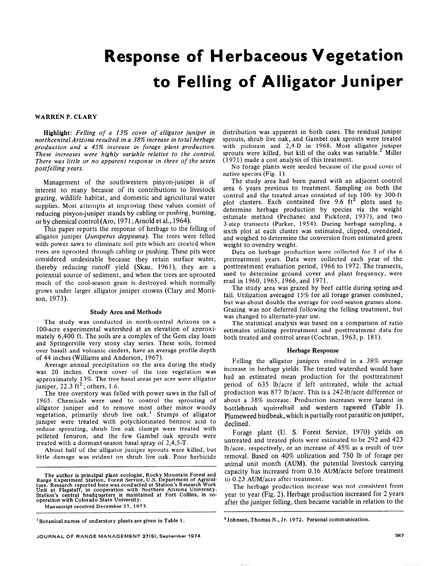# **Response of Herbaceous Vegetation to Felling of Alligator Juniper**

### WARREN P. CLARY

Highlight: *Felling of a 13% cover of alligator juniper in northcentral Arizona resulted in a 38% increase in total herbage production and a 45% increase in forage plant production. These increases were highly variable relative to the control. There was little or no apparent response in three of the seven postfelling years.* 

Management of the southwestern pinyon-juniper is of interest to many because of its contributions to livestock grazing, wildlife habitat, and domestic and agricultural water supplies. Most attempts at improving these values consist of reducing pinyon-juniper stands by cabling or pushing, burning, or by chemical control (Aro, 1971 ;Arnold et al., 1964).

This paper reports the response of herbage to the felling of alligator juniper *(Juniperus deppeana).* The trees were felled with power saws to eliminate soil pits which are created when trees are uprooted through cabling or pushing. These pits were considered undesirable because they retain surface water, thereby reducing runoff yield  $(Skau, 1961)$ , they are a potential source of sediment, and when the trees are uprooted much of the cool-season grass is destroyed which normally grows under larger alligator juniper crowns (Clary and Morrison, 1973).

#### Study Area and Methods

The study was conducted in north-central Arizona on a 100-acre experimental watershed at an elevation of approximately 6,400 ft. The soils are a complex of the Gem clay loam and Springerville very stony clay series. These soils, formed over basalt and volcanic cinders, have an average profile depth of 44 inches (Williams and Anderson, 1967).

Average annual precipitation on the area during the study was 20 inches. Crown cover of the tree vegetation was approximately 13%. The tree basal areas per acre were alligator juniper,  $22.3 \text{ ft}^2$ ; others, 1.6.

The tree overstory was felled with power saws in the fall of 1965. Chemicals were used to control the sprouting of alligator juniper and to remove most other minor woody vegetation, primarily shrub live oak.' Stumps of alligator juniper were treated with polychlorinated benzoic acid to reduce sprouting, shrub live oak clumps were treated with pelleted fenuron, and the few Gambel oak sprouts were treated with a dormant-season basal spray of 2,4,5-T.

About half of the alligator juniper sprouts were killed, but little damage was evident on shrub live oak. Poor herbicide

**Manuscript received December 27, 1973.** 

distribution was apparent in both cases. The residual juniper sprouts, shrub live oak, and Gambel oak sprouts were treated with picloram and 2,4-D in 1968. Most alligator juniper sprouts were killed, but kill of the oaks was variable.<sup>2</sup> Miller (1971) made a cost analysis of this treatment.

No forage plants were seeded because of the good cover of native species (Fig. 1).

The study area had been paired with an adjacent control area 6 years previous to treatment. Sampling on both the control and the treated areas consisted of ten lOO- by 300-ft plot clusters. Each contained five 9.6 ft<sup>2</sup> plots used to determine herbage production by species via the weight estimate method (Pechanec and Pickford, 1937), and two 3-step transects (Parker, 1954). During herbage sampling, a sixth plot at each cluster was estimated, clipped, ovendried, and weighed to determine the conversion from estimated green weight to ovendry weight.

Data on herbage production were collected for 3 of the 6 pretreatment years. Data were collected each year of the posttreatment evaluation period, 1966 to 1972. The transects, used to determine ground cover and plant frequency, were read in 1960, 1965, 1966, and 1971.

The study area was grazed by beef cattle during spring and fall. Utilization averaged 15% for all forage grasses combined, but was about double the average for cool-season grasses alone. Grazing was not deferred following the felling treatment, but was changed to alternate-year use.

The statistical analysis was based on a comparison of ratio estimates utilizing pretreatment and posttreatment data for. both treated and control areas (Cochran, 1963, p. 181).

### Herbage Response

Felling the alligator junipers resulted in a 38% average increase in herbage yields. The treated watershed would have had an estimated mean production for the posttreatment period of 635 lb/acre if left untreated, while the actual production was 877 lb/acre. This is a 242-lb/acre difference or about a 38% increase. Production increases were largest in bottlebrush squirreltail and western ragweed (Table 1). Plumeweed birdbeak, which is partially root parasitic on juniper, declined.

Forage plant (U. S. Forest Service, 1970) yields on untreated and treated plots were estimated to be 292 and 423 lb/acre, respectively, or an increase of 45% as a result of tree removal. Based on 40% utilization and 750 lb of forage per animal unit month (AUM), the potential livestock carrying capacity has increased from 0.16 AUM/acre before treatment to 0.23 AUM/acre after treatment.

The herbage production increase was not consistent from year to year (Fig. 2). Herbage production increased for 2 years after the juniper felling, then became variable in relation to the

<sup>1</sup> Botanical names of understory plants are given in Table 1. <sup>2</sup> Johnsen, Thomas N., Jr. 1972. Personal communication.

The author is principal plant ecologist, Rocky Mountain Forest and<br>Range Experiment Station, Forest Service, U.S. Department of Agricul-<br>ture. Research reported here was conducted at Station's Research Work **Unit at Flagstaff, in cooperation with Northern Arizona University. Station's central headquarters is maintained at Fort Collins, in cooperation with Colorado State University.**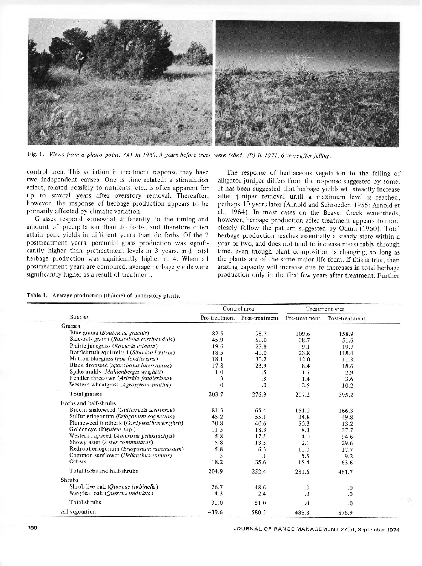

Fig. 1. Views from a photo point: (A) In 1960, 5 years before trees were felled. (B) In 1971, 6 years after felling.

control area. This variation in treatment response may have two independent causes. One is time related: a stimulation effect, related possibly to nutrients, etc., is often apparent for up to several years after overstory removal. Thereafter, however, the response of herbage production appears to be primarily affected by climatic variation.

Grasses respond somewhat differently to the timing and amount of precipitation than do forbs, and therefore often attain peak yields in different years than do forbs. Of the 7 posttreatment years, perennial grass production was significantly higher than pretreatment levels in 3 years, and total herbage production was significantly higher in 4. When all posttreatment years are combined, average herbage yields were significantly higher as a result of treatment.

The response of herbaceous vegetation to the felling of alligator juniper differs from the response suggested by some. It has been suggested that herbage yields will steadily increase after juniper removal until a maximum level is reached, perhaps 10 years later (Arnold and Schroeder, 1955; Arnold et al., 1964). In most cases on the Beaver Creek watersheds, however, herbage production after treatment appears to more closely follow the pattern suggested by Odum (1960): Total herbage production reaches essentially a steady state within a year or two, and does not tend to increase measurably through time, even though plant composition *is* changing, so long as the plants are of the same major life form. If this is true, then grazing capacity will increase due to increases in total herbage production only in the first few years after treatment. Further

| Table 1. Average production (lb/acre) of understory plants. |  |  |  |  |  |  |  |
|-------------------------------------------------------------|--|--|--|--|--|--|--|
|-------------------------------------------------------------|--|--|--|--|--|--|--|

|                                             | Control area |                              | Treatment area |                |  |
|---------------------------------------------|--------------|------------------------------|----------------|----------------|--|
| <b>Species</b>                              |              | Pre-treatment Post-treatment | Pre-treatment  | Post-treatment |  |
| Grasses                                     |              |                              |                |                |  |
| Blue grama (Bouteloua gracilis)             | 82.5         | 98.7                         | 109.6          | 158.9          |  |
| Side-oats grama (Bouteloua curtipendula)    | 45.9         | 59.0                         | 38.7           | 51.6           |  |
| Prairie junegrass (Koeleria cristata)       | 19.6         | 23.8                         | 9.1            | 19.7           |  |
| Bottlebrush squirreltail (Sitanion hystrix) | 18.5         | 40.0                         | 23.8           | 118.4          |  |
| Mutton bluegrass (Poa fendleriana)          | 18.1         | 30.2                         | 12.0           | 11.3           |  |
| Black dropseed (Sporobolus interruptus)     | 17.8         | 23.9                         | 8.4            | 18.6           |  |
| Spike muhly (Muhlenbergia wrightii)         | 1.0          | .5                           | 1.7            | 2.9            |  |
| Fendler three-awn (Aristida fendleriana)    | $\cdot$ 3    | $\boldsymbol{.8}$            | 1.4            | 3.6            |  |
| Western wheatgrass (Agropyron smithii)      | 0.           | $\Omega$ .                   | 2.5            | 10.2           |  |
| Total grasses                               | 203.7        | 276.9                        | 207.2          | 395.2          |  |
| Forbs and half-shrubs                       |              |                              |                |                |  |
| Broom snakeweed (Gutierrezia sarothrae)     | 81.3         | 65.4                         | 151.2          | 166.3          |  |
| Sulfur eriogonum (Eriogonum cognatum)       | 45.2         | 55.1                         | 34.8           | 49.8           |  |
| Plumeweed birdbeak (Cordylanthus wrightii)  | 30.8         | 40.6                         | 50.3           | 13.2           |  |
| Goldeneye (Viguiera spp.)                   | 11.5         | 18.3                         | 8.3            | 37.7           |  |
| Western ragweed (Ambrosia psilostachya)     | 5.8          | 17.5                         | 4.0            | 94.6           |  |
| Showy aster (Aster commutatus)              | 5.8          | 13.5                         | 2.1            | 29.6           |  |
| Redroot eriogonum (Eriogonum racemosum)     | 5.8          | 6.3                          | 10.0           | 17.7           |  |
| Common sunflower (Helianthus annuus)        | .5           | $\cdot$ 1                    | 5.5            | 9.2            |  |
| Others                                      | 18.2         | 35.6                         | 15.4           | 63.6           |  |
| Total forbs and half-shrubs                 | 204.9        | 252.4                        | 281.6          | 481.7          |  |
| Shrubs                                      |              |                              |                |                |  |
| Shrub live oak (Quercus turbinella)         | 26.7         | 48.6                         | 0.             | $\cdot 0$      |  |
| Wavyleaf oak (Quercus undulata)             | 4.3          | 2.4                          | 0.             | 0.             |  |
| Total shrubs                                | 31.0         | 51.0                         | .0             | 0.             |  |
| All vegetation                              | 439.6        | 580.3                        | 488.8          | 876.9          |  |